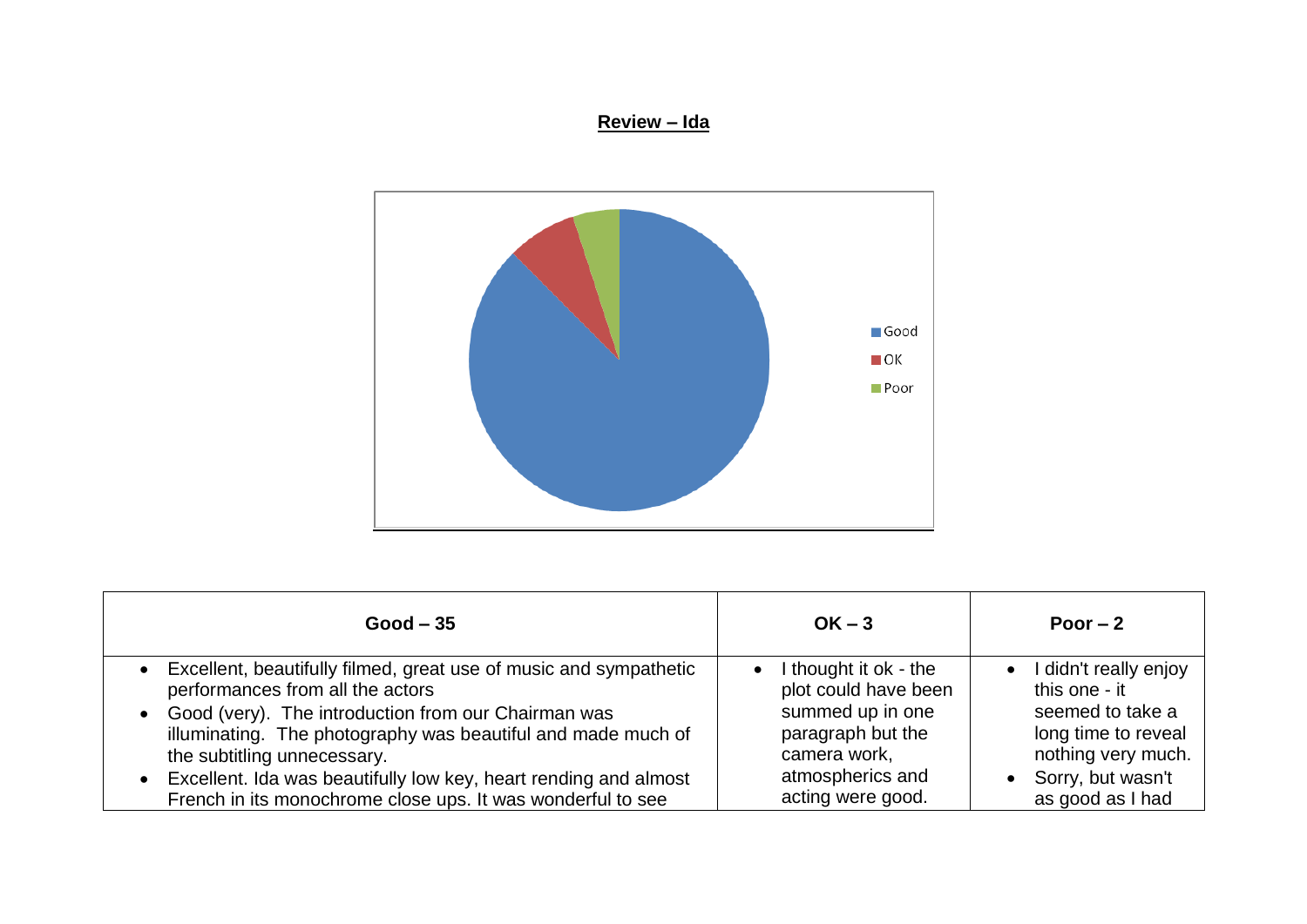## **Review – Ida**



| $Good - 35$                                                                                                                                                                                                                                                                                                                                                                                          | $OK - 3$                                                                                                                                                   | Poor $-2$                                                                                                                                            |
|------------------------------------------------------------------------------------------------------------------------------------------------------------------------------------------------------------------------------------------------------------------------------------------------------------------------------------------------------------------------------------------------------|------------------------------------------------------------------------------------------------------------------------------------------------------------|------------------------------------------------------------------------------------------------------------------------------------------------------|
| • Excellent, beautifully filmed, great use of music and sympathetic<br>performances from all the actors<br>• Good (very). The introduction from our Chairman was<br>illuminating. The photography was beautiful and made much of<br>the subtitling unnecessary.<br>• Excellent. Ida was beautifully low key, heart rending and almost<br>French in its monochrome close ups. It was wonderful to see | thought it ok - the<br>$\bullet$<br>plot could have been<br>summed up in one<br>paragraph but the<br>camera work,<br>atmospherics and<br>acting were good. | • I didn't really enjoy<br>this one - it<br>seemed to take a<br>long time to reveal<br>nothing very much.<br>• Sorry, but wasn't<br>as good as I had |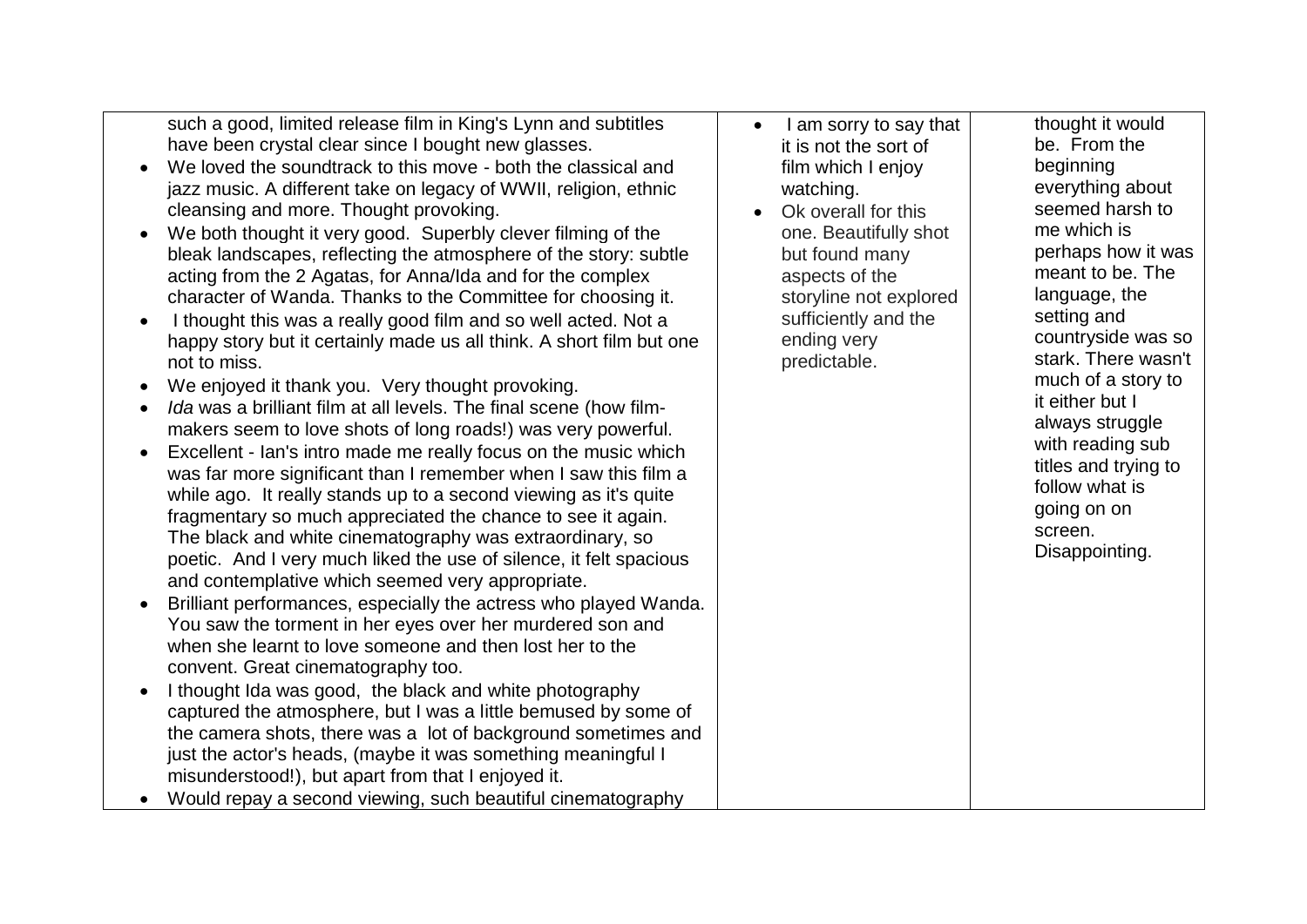such a good, limited release film in King's Lynn and subtitles have been crystal clear since I bought new glasses.

- We loved the soundtrack to this move both the classical and jazz music. A different take on legacy of WWII, religion, ethnic cleansing and more. Thought provoking.
- We both thought it very good. Superbly clever filming of the bleak landscapes, reflecting the atmosphere of the story: subtle acting from the 2 Agatas, for Anna/Ida and for the complex character of Wanda. Thanks to the Committee for choosing it.
- I thought this was a really good film and so well acted. Not a happy story but it certainly made us all think. A short film but one not to miss.
- We enjoyed it thank you. Very thought provoking.
- *Ida* was a brilliant film at all levels. The final scene (how filmmakers seem to love shots of long roads!) was very powerful.
- Excellent Ian's intro made me really focus on the music which was far more significant than I remember when I saw this film a while ago. It really stands up to a second viewing as it's quite fragmentary so much appreciated the chance to see it again. The black and white cinematography was extraordinary, so poetic. And I very much liked the use of silence, it felt spacious and contemplative which seemed very appropriate.
- Brilliant performances, especially the actress who played Wanda. You saw the torment in her eyes over her murdered son and when she learnt to love someone and then lost her to the convent. Great cinematography too.
- I thought Ida was good, the black and white photography captured the atmosphere, but I was a little bemused by some of the camera shots, there was a lot of background sometimes and just the actor's heads, (maybe it was something meaningful I misunderstood!), but apart from that I enjoyed it.

Would repay a second viewing, such beautiful cinematography

- I am sorry to say that it is not the sort of film which I enjoy watching.
- Ok overall for this one. Beautifully shot but found many aspects of the storyline not explored sufficiently and the ending very predictable.

thought it would be. From the beginning everything about seemed harsh to me which is perhaps how it was meant to be. The language, the setting and countryside was so stark. There wasn't much of a story to it either but I always struggle with reading sub titles and trying to follow what is going on on screen. Disappointing.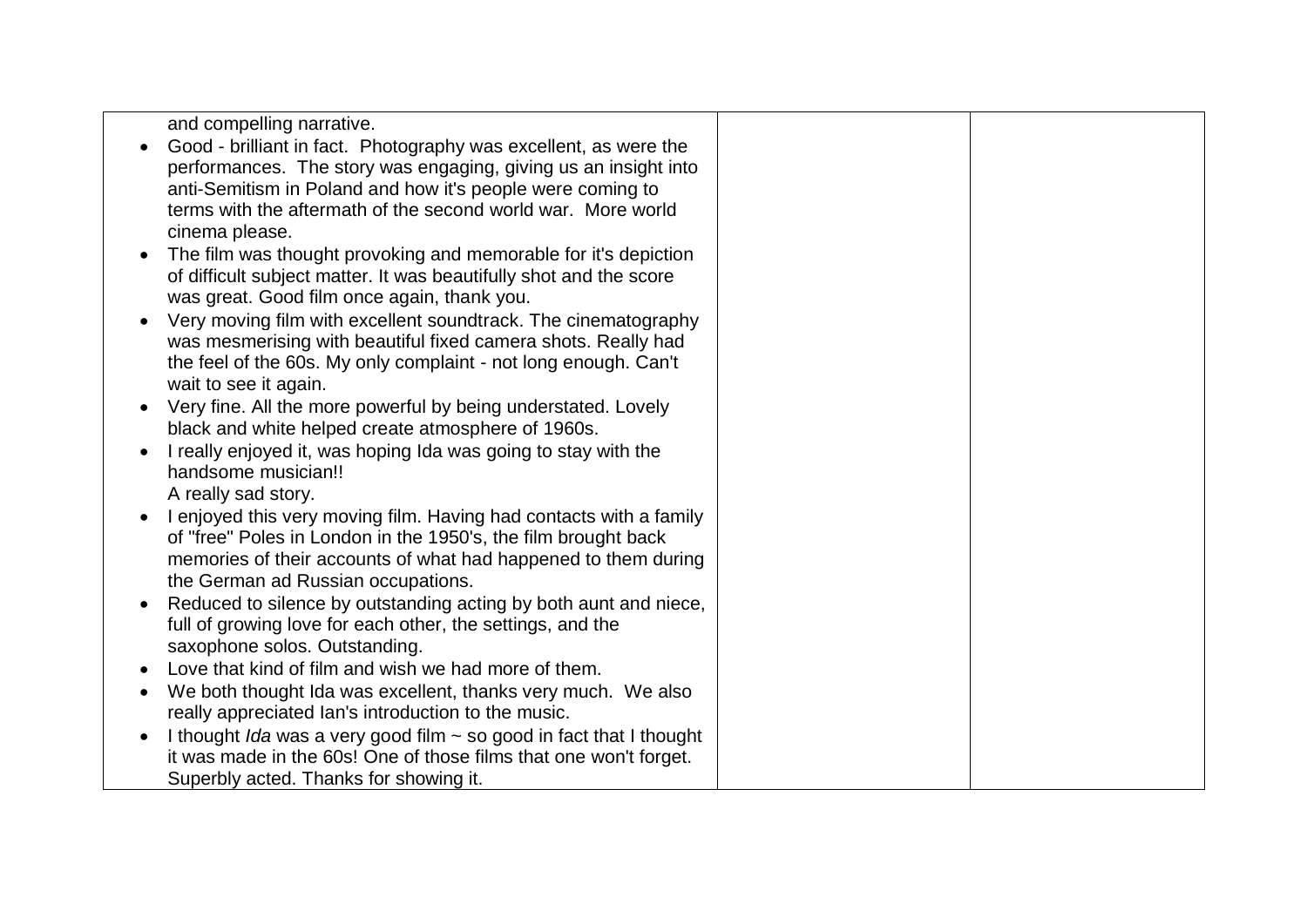| and compelling narrative.                                                |  |
|--------------------------------------------------------------------------|--|
| Good - brilliant in fact. Photography was excellent, as were the         |  |
| performances. The story was engaging, giving us an insight into          |  |
| anti-Semitism in Poland and how it's people were coming to               |  |
| terms with the aftermath of the second world war. More world             |  |
| cinema please.                                                           |  |
| The film was thought provoking and memorable for it's depiction          |  |
| of difficult subject matter. It was beautifully shot and the score       |  |
| was great. Good film once again, thank you.                              |  |
|                                                                          |  |
| Very moving film with excellent soundtrack. The cinematography           |  |
| was mesmerising with beautiful fixed camera shots. Really had            |  |
| the feel of the 60s. My only complaint - not long enough. Can't          |  |
| wait to see it again.                                                    |  |
| Very fine. All the more powerful by being understated. Lovely            |  |
| black and white helped create atmosphere of 1960s.                       |  |
| I really enjoyed it, was hoping Ida was going to stay with the           |  |
| handsome musician!!                                                      |  |
| A really sad story.                                                      |  |
| I enjoyed this very moving film. Having had contacts with a family       |  |
| of "free" Poles in London in the 1950's, the film brought back           |  |
| memories of their accounts of what had happened to them during           |  |
| the German ad Russian occupations.                                       |  |
| Reduced to silence by outstanding acting by both aunt and niece,         |  |
| full of growing love for each other, the settings, and the               |  |
|                                                                          |  |
| saxophone solos. Outstanding.                                            |  |
| Love that kind of film and wish we had more of them.                     |  |
| We both thought Ida was excellent, thanks very much. We also             |  |
| really appreciated Ian's introduction to the music.                      |  |
| I thought Ida was a very good film $\sim$ so good in fact that I thought |  |
| it was made in the 60s! One of those films that one won't forget.        |  |
| Superbly acted. Thanks for showing it.                                   |  |